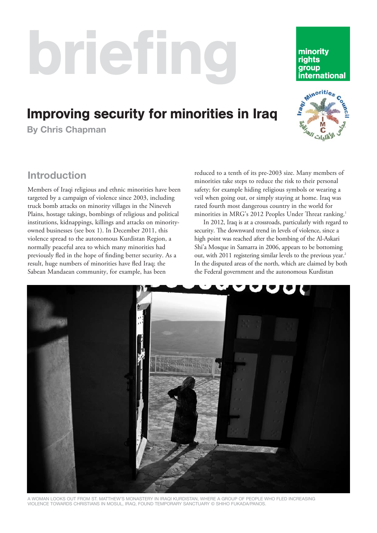# briefing

# Improving security for minorities in Iraq

**By Chris Chapman** 

# **Introduction**

Members of Iraqi religious and ethnic minorities have been targeted by a campaign of violence since 2003, including truck bomb attacks on minority villages in the Nineveh Plains, hostage takings, bombings of religious and political institutions, kidnappings, killings and attacks on minorityowned businesses (see box 1). In December 2011, this violence spread to the autonomous Kurdistan Region, a normally peaceful area to which many minorities had previously fled in the hope of finding better security. As a result, huge numbers of minorities have fled Iraq; the Sabean Mandaean community, for example, has been

reduced to a tenth of its pre-2003 size. Many members of minorities take steps to reduce the risk to their personal safety; for example hiding religious symbols or wearing a veil when going out, or simply staying at home. Iraq was rated fourth most dangerous country in the world for minorities in MRG's 2012 Peoples Under Threat ranking.<sup>1</sup>

In 2012, Iraq is at a crossroads, particularly with regard to security. The downward trend in levels of violence, since a high point was reached after the bombing of the Al-Askari Shi'a Mosque in Samarra in 2006, appears to be bottoming out, with 2011 registering similar levels to the previous year.<sup>2</sup> In the disputed areas of the north, which are claimed by both the Federal government and the autonomous Kurdistan



VIOLENCE TOWARDS CHRISTIANS IN MOSUL, IRAQ, FOUND TEMPORARY SANCTUARY © SHIHO FUKADA/PANOS.



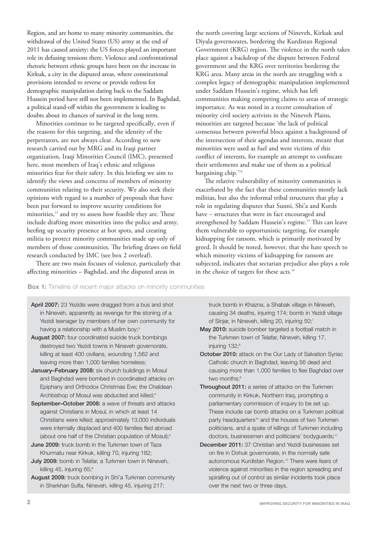Region, and are home to many minority communities, the withdrawal of the United States (US) army at the end of 2011 has caused anxiety; the US forces played an important role in defusing tensions there. Violence and confrontational rhetoric between ethnic groups have been on the increase in Kirkuk, a city in the disputed areas, where constitutional provisions intended to reverse or provide redress for demographic manipulation dating back to the Saddam Hussein period have still not been implemented. In Baghdad, a political stand-off within the government is leading to doubts about its chances of survival in the long term.

Minorities continue to be targeted specifically, even if the reasons for this targeting, and the identity of the perpetrators, are not always clear. According to new research carried out by MRG and its Iraqi partner organization, Iraqi Minorities Council (IMC), presented here, most members of Iraq's ethnic and religious minorities fear for their safety. In this briefing we aim to identify the views and concerns of members of minority communities relating to their security. We also seek their opinions with regard to a number of proposals that have been put forward to improve security conditions for minorities,<sup>13</sup> and try to assess how feasible they are. These include drafting more minorities into the police and army, beefing up security presence at hot spots, and creating militia to protect minority communities made up only of members of those communities. The briefing draws on field research conducted by IMC (see box 2 overleaf).

There are two main focuses of violence, particularly that affecting minorities – Baghdad, and the disputed areas in

the north covering large sections of Nineveh, Kirkuk and Diyala governorates, bordering the Kurdistan Regional Government (KRG) region. The violence in the north takes place against a backdrop of the dispute between Federal government and the KRG over territories bordering the KRG area. Many areas in the north are struggling with a complex legacy of demographic manipulation implemented under Saddam Hussein's regime, which has left communities making competing claims to areas of strategic importance. As was noted in a recent consultation of minority civil society activists in the Nineveh Plains, minorities are targeted because 'the lack of political consensus between powerful blocs against a background of the intersection of their agendas and interests, meant that minorities were used as fuel and were victims of this conflict of interests, for example an attempt to confiscate their settlements and make use of them as a political bargaining chip.'<sup>14</sup>

The relative vulnerability of minority communities is exacerbated by the fact that these communities mostly lack militias, but also the informal tribal structures that play a role in regulating disputes that Sunni, Shi'a and Kurds have – structures that were in fact encouraged and strengthened by Saddam Hussein's regime.<sup>15</sup> This can leave them vulnerable to opportunistic targeting, for example kidnapping for ransom, which is primarily motivated by greed. It should be noted, however, that the hate speech to which minority victims of kidnapping for ransom are subjected, indicates that sectarian prejudice also plays a role in the choice of targets for these acts.<sup>16</sup>

**Box 1:** Timeline of recent major attacks on minority communities

- April 2007: 23 Yezidis were dragged from a bus and shot in Nineveh, apparently as revenge for the stoning of a Yezidi teenager by members of her own community for having a relationship with a Muslim boy;<sup>3</sup>
- August 2007: four coordinated suicide truck bombings destroyed two Yezidi towns in Nineveh governorate, killing at least 400 civilians, wounding 1,562 and leaving more than 1,000 families homeless;
- January–February 2008: six church buildings in Mosul and Baghdad were bombed in coordinated attacks on Epiphany and Orthodox Christmas Eve; the Chaldean Archbishop of Mosul was abducted and killed;<sup>4</sup>
- September–October 2008: a wave of threats and attacks against Christians in Mosul, in which at least 14 Christians were killed; approximately 13,000 individuals were internally displaced and 400 families fled abroad (about one half of the Christian population of Mosul);<sup>5</sup>
- June 2009: truck bomb in the Turkmen town of Taza Khurmatu near Kirkuk, killing 70, injuring 182;
- July 2009: bomb in Telafar, a Turkmen town in Nineveh, killing 45, injuring 65;<sup>6</sup>
- August 2009: truck bombing in Shi'a Turkmen community in Sherkhan Sufla, Nineveh, killing 45, injuring 217;

truck bomb in Khazna, a Shabak village in Nineveh, causing 34 deaths, injuring 174; bomb in Yezidi village of Sinjar, in Nineveh, killing 20, injuring 50;7

- May 2010: suicide bomber targeted a football match in the Turkmen town of Telafar, Nineveh, killing 17, injuring 132;<sup>8</sup>
- October 2010: attack on the Our Lady of Salvation Syriac Catholic church in Baghdad, leaving 56 dead and causing more than 1,000 families to flee Baghdad over two months:<sup>9</sup>
- Throughout 2011: a series of attacks on the Turkmen community in Kirkuk, Northern Iraq, prompting a parliamentary commission of inquiry to be set up. These include car bomb attacks on a Turkmen political party headquarters<sup>10</sup> and the houses of two Turkmen politicians, and a spate of killings of Turkmen including doctors, businessmen and politicians' bodyquards;<sup>11</sup>
- December 2011: 37 Christian and Yezidi businesses set on fire in Dohuk governorate, in the normally safe autonomous Kurdistan Region.<sup>12</sup> There were fears of violence against minorities in the region spreading and spiralling out of control as similar incidents took place over the next two or three days.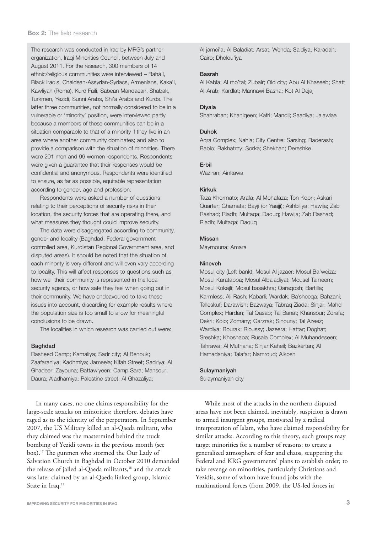The research was conducted in Iraq by MRG's partner organization, Iraqi Minorities Council, between July and August 2011. For the research, 300 members of 14 ethnic/religious communities were interviewed – Bahá'í, Black Iraqis, Chaldean-Assyrian-Syriacs, Armenians, Kaka'i, Kawliyah (Roma), Kurd Faili, Sabean Mandaean, Shabak, Turkmen, Yezidi, Sunni Arabs, Shi'a Arabs and Kurds. The latter three communities, not normally considered to be in a vulnerable or 'minority' position, were interviewed partly because a members of these communities can be in a situation comparable to that of a minority if they live in an area where another community dominates; and also to provide a comparison with the situation of minorities. There were 201 men and 99 women respondents. Respondents were given a guarantee that their responses would be confidential and anonymous. Respondents were identified to ensure, as far as possible, equitable representation according to gender, age and profession.

Respondents were asked a number of questions relating to their perceptions of security risks in their location, the security forces that are operating there, and what measures they thought could improve security.

The data were disaggregated according to community, gender and locality (Baghdad, Federal government controlled area, Kurdistan Regional Government area, and disputed areas). It should be noted that the situation of each minority is very different and will even vary according to locality. This will affect responses to questions such as how well their community is represented in the local security agency, or how safe they feel when going out in their community. We have endeavoured to take these issues into account, discarding for example results where the population size is too small to allow for meaningful conclusions to be drawn.

The localities in which research was carried out were:

#### Baghdad

Rasheed Camp; Kamaliya; Sadr city; Al Benouk; Zaafaraniya; Kadhmiya; Jameela; Kifah Street; Sadriya; Al Ghadeer; Zayouna; Battawiyeen; Camp Sara; Mansour; Daura; A'adhamiya; Palestine street; Al Ghazaliya;

In many cases, no one claims responsibility for the large-scale attacks on minorities; therefore, debates have raged as to the identity of the perpetrators. In September 2007, the US Military killed an al-Qaeda militant, who they claimed was the mastermind behind the truck bombing of Yezidi towns in the previous month (see box).17 The gunmen who stormed the Our Lady of Salvation Church in Baghdad in October 2010 demanded the release of jailed al-Qaeda militants,<sup>18</sup> and the attack was later claimed by an al-Qaeda linked group, Islamic State in Iraq.<sup>19</sup>

Al jamei'a; Al Baladiat; Arsat; Wehda; Saidiya; Karadah; Cairo; Dholou'iya

#### Basrah

Al Kabla; Al mo'tal; Zubair; Old city; Abu Al Khaseeb; Shatt Al-Arab; Kardlat; Mannawi Basha; Kot Al Dejaj

#### Diyala

Shahraban; Khaniqeen; Kafri; Mandli; Saadiya; Jalawlaa

#### Duhok

Aqra Complex; Nahla; City Centre; Sarsing; Baderash; Bablo; Bakhatmy; Sorka; Shekhan; Dereshke

#### Erbil

Waziran; Ainkawa

#### Kirkuk

Taza Khormato; Arafa; Al Mohafaza; Ton Kopri; Askari Quarter; Gharnata; Bayji (or Yaajji); Ashbiliya; Hawija; Zab Rashad; Riadh; Multaqa; Daquq; Hawija; Zab Rashad; Riadh; Multaqa; Daquq

#### Missan

Maymouna; Amara

#### Nineveh

Mosul city (Left bank); Mosul Al jazaer; Mosul Ba'weiza; Mosul Karatabba; Mosul Albaladiyat; Mousel Tameem; Mosul Kokajli; Mosul basakhra; Qaraqosh; Bartilla; Karmless; Ali Rash; Kabarli; Wardak; Ba'sheeqa; Bahzani; Talleskuf; Darawish; Bazwaya; Tabraq Ziada; Sinjar; Mahd Complex; Hardan; Tal Qasab; Tal Banat; Khansour; Zorafa; Dekri; Kojo; Zomany; Garzrak; Sinouny; Tal Azeez; Wardiya; Bourak; Rioussy; Jazeera; Hattar; Doghat; Sreshka; Khoshaba; Rusala Complex; Al Muhandeseen; Tahrawa; Al Muthana; Sinjar Kaheil; Bazkertan; Al Hamadaniya; Talafar; Namroud; Alkosh

# Sulaymaniyah

Sulaymaniyah city

While most of the attacks in the northern disputed areas have not been claimed, inevitably, suspicion is drawn to armed insurgent groups, motivated by a radical interpretation of Islam, who have claimed responsibility for similar attacks. According to this theory, such groups may target minorities for a number of reasons; to create a generalized atmosphere of fear and chaos, scuppering the Federal and KRG governments' plans to establish order; to take revenge on minorities, particularly Christians and Yezidis, some of whom have found jobs with the multinational forces (from 2009, the US-led forces in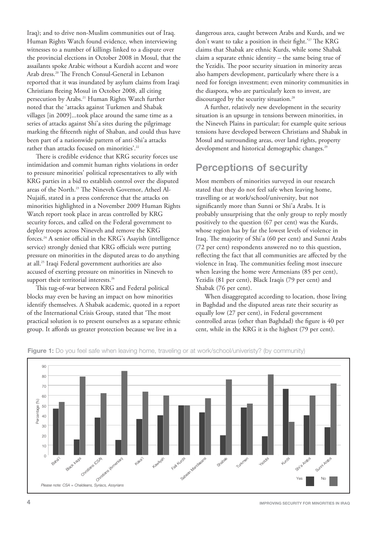Iraq); and to drive non-Muslim communities out of Iraq. Human Rights Watch found evidence, when interviewing witnesses to a number of killings linked to a dispute over the provincial elections in October 2008 in Mosul, that the assailants spoke Arabic without a Kurdish accent and wore Arab dress.20 The French Consul-General in Lebanon reported that it was inundated by asylum claims from Iraqi Christians fleeing Mosul in October 2008, all citing persecution by Arabs.<sup>21</sup> Human Rights Watch further noted that the 'attacks against Turkmen and Shabak villages [in 2009]...took place around the same time as a series of attacks against Shi'a sites during the pilgrimage marking the fifteenth night of Shaban, and could thus have been part of a nationwide pattern of anti-Shi'a attacks rather than attacks focused on minorities'.<sup>22</sup>

There is credible evidence that KRG security forces use intimidation and commit human rights violations in order to pressure minorities' political representatives to ally with KRG parties in a bid to establish control over the disputed areas of the North.<sup>23</sup> The Nineveh Governor, Atheel Al-Nujaifi, stated in a press conference that the attacks on minorities highlighted in a November 2009 Human Rights Watch report took place in areas controlled by KRG security forces, and called on the Federal government to deploy troops across Nineveh and remove the KRG forces.24 A senior official in the KRG's Asayish (intelligence service) strongly denied that KRG officials were putting pressure on minorities in the disputed areas to do anything at all.25 Iraqi Federal government authorities are also accused of exerting pressure on minorities in Nineveh to support their territorial interests.<sup>26</sup>

This tug-of-war between KRG and Federal political blocks may even be having an impact on how minorities identify themselves. A Shabak academic, quoted in a report of the International Crisis Group, stated that 'The most practical solution is to present ourselves as a separate ethnic group. It affords us greater protection because we live in a

dangerous area, caught between Arabs and Kurds, and we don't want to take a position in their fight.'<sup>27</sup> The KRG claims that Shabak are ethnic Kurds, while some Shabak claim a separate ethnic identity – the same being true of the Yezidis. The poor security situation in minority areas also hampers development, particularly where there is a need for foreign investment; even minority communities in the diaspora, who are particularly keen to invest, are discouraged by the security situation.<sup>28</sup>

A further, relatively new development in the security situation is an upsurge in tensions between minorities, in the Nineveh Plains in particular; for example quite serious tensions have developed between Christians and Shabak in Mosul and surrounding areas, over land rights, property development and historical demographic changes.<sup>29</sup>

# **Perceptions of security**

Most members of minorities surveyed in our research stated that they do not feel safe when leaving home, travelling or at work/school/university, but not significantly more than Sunni or Shi'a Arabs. It is probably unsurprising that the only group to reply mostly positively to the question (67 per cent) was the Kurds, whose region has by far the lowest levels of violence in Iraq. The majority of Shi'a (60 per cent) and Sunni Arabs (72 per cent) respondents answered no to this question, reflecting the fact that all communities are affected by the violence in Iraq. The communities feeling most insecure when leaving the home were Armenians (85 per cent), Yezidis (81 per cent), Black Iraqis (79 per cent) and Shabak (76 per cent).

When disaggregated according to location, those living in Baghdad and the disputed areas rate their security as equally low (27 per cent), in Federal government controlled areas (other than Baghdad) the figure is 40 per cent, while in the KRG it is the highest (79 per cent).



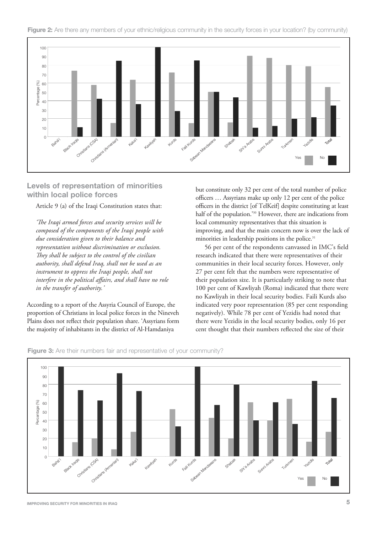



## **Levels of representation of minorities within local police forces**

Article 9 (a) of the Iraqi Constitution states that:

*'The Iraqi armed forces and security services will be composed of the components of the Iraqi people with due consideration given to their balance and representation without discrimination or exclusion. They shall be subject to the control of the civilian authority, shall defend Iraq, shall not be used as an instrument to oppress the Iraqi people, shall not interfere in the political affairs, and shall have no role in the transfer of authority.'*

According to a report of the Assyria Council of Europe, the proportion of Christians in local police forces in the Nineveh Plains does not reflect their population share. 'Assyrians form the majority of inhabitants in the district of Al-Hamdaniya

but constitute only 32 per cent of the total number of police officers … Assyrians make up only 12 per cent of the police officers in the district [of TelKeif] despite constituting at least half of the population.'30 However, there are indications from local community representatives that this situation is improving, and that the main concern now is over the lack of minorities in leadership positions in the police.<sup>31</sup>

56 per cent of the respondents canvassed in IMC's field research indicated that there were representatives of their communities in their local security forces. However, only 27 per cent felt that the numbers were representative of their population size. It is particularly striking to note that 100 per cent of Kawliyah (Roma) indicated that there were no Kawliyah in their local security bodies. Faili Kurds also indicated very poor representation (85 per cent responding negatively). While 78 per cent of Yezidis had noted that there were Yezidis in the local security bodies, only 16 per cent thought that their numbers reflected the size of their



**Figure 3:** Are their numbers fair and representative of your community?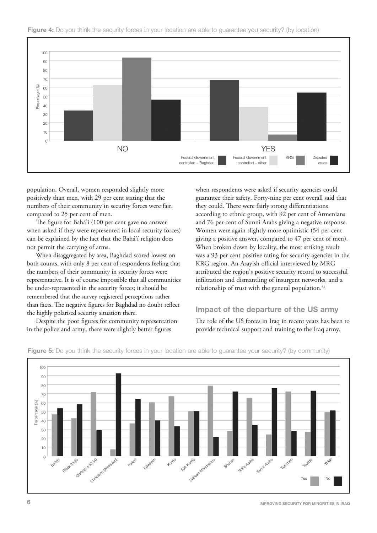



population. Overall, women responded slightly more positively than men, with 29 per cent stating that the numbers of their community in security forces were fair, compared to 25 per cent of men.

The figure for Bahá'í (100 per cent gave no answer when asked if they were represented in local security forces) can be explained by the fact that the Bahá'í religion does not permit the carrying of arms.

When disaggregated by area, Baghdad scored lowest on both counts, with only 8 per cent of respondents feeling that the numbers of their community in security forces were representative. It is of course impossible that all communities be under-represented in the security forces; it should be remembered that the survey registered perceptions rather than facts. The negative figures for Baghdad no doubt reflect the highly polarised security situation there.

Despite the poor figures for community representation in the police and army, there were slightly better figures

when respondents were asked if security agencies could guarantee their safety. Forty-nine per cent overall said that they could. There were fairly strong differentiations according to ethnic group, with 92 per cent of Armenians and 76 per cent of Sunni Arabs giving a negative response. Women were again slightly more optimistic (54 per cent giving a positive answer, compared to 47 per cent of men). When broken down by locality, the most striking result was a 93 per cent positive rating for security agencies in the KRG region. An Asayish official interviewed by MRG attributed the region's positive security record to successful infiltration and dismantling of insurgent networks, and a relationship of trust with the general population.<sup>32</sup>

#### **Impact of the departure of the US army**

The role of the US forces in Iraq in recent years has been to provide technical support and training to the Iraq army,



**Figure 5:** Do you think the security forces in your location are able to guarantee your security? (by community)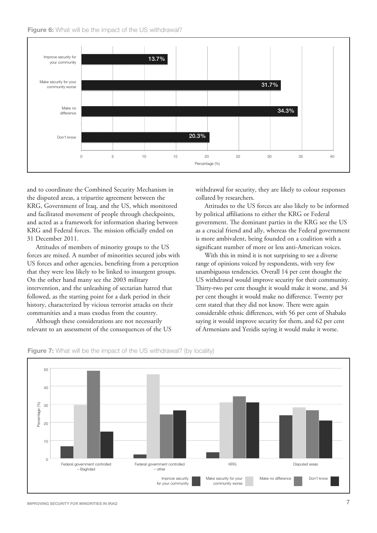



and to coordinate the Combined Security Mechanism in the disputed areas, a tripartite agreement between the KRG, Government of Iraq, and the US, which monitored and facilitated movement of people through checkpoints, and acted as a framework for information sharing between KRG and Federal forces. The mission officially ended on 31 December 2011.

Attitudes of members of minority groups to the US forces are mixed. A number of minorities secured jobs with US forces and other agencies, benefiting from a perception that they were less likely to be linked to insurgent groups. On the other hand many see the 2003 military intervention, and the unleashing of sectarian hatred that followed, as the starting point for a dark period in their history, characterized by vicious terrorist attacks on their communities and a mass exodus from the country.

Although these considerations are not necessarily relevant to an assessment of the consequences of the US withdrawal for security, they are likely to colour responses collated by researchers.

Attitudes to the US forces are also likely to be informed by political affiliations to either the KRG or Federal government. The dominant parties in the KRG see the US as a crucial friend and ally, whereas the Federal government is more ambivalent, being founded on a coalition with a significant number of more or less anti-American voices.

With this in mind it is not surprising to see a diverse range of opinions voiced by respondents, with very few unambiguous tendencies. Overall 14 per cent thought the US withdrawal would improve security for their community. Thirty-two per cent thought it would make it worse, and 34 per cent thought it would make no difference. Twenty per cent stated that they did not know. There were again considerable ethnic differences, with 56 per cent of Shabaks saying it would improve security for them, and 62 per cent of Armenians and Yezidis saying it would make it worse.



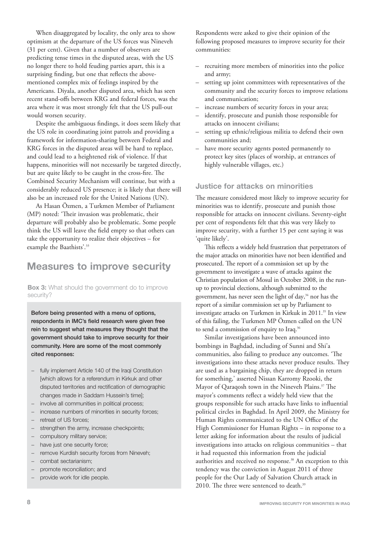When disaggregated by locality, the only area to show optimism at the departure of the US forces was Nineveh (31 per cent). Given that a number of observers are predicting tense times in the disputed areas, with the US no longer there to hold feuding parties apart, this is a surprising finding, but one that reflects the abovementioned complex mix of feelings inspired by the Americans. Diyala, another disputed area, which has seen recent stand-offs between KRG and federal forces, was the area where it was most strongly felt that the US pull-out would worsen security.

Despite the ambiguous findings, it does seem likely that the US role in coordinating joint patrols and providing a framework for information-sharing between Federal and KRG forces in the disputed areas will be hard to replace, and could lead to a heightened risk of violence. If that happens, minorities will not necessarily be targeted directly, but are quite likely to be caught in the cross-fire. The Combined Security Mechanism will continue, but with a considerably reduced US presence; it is likely that there will also be an increased role for the United Nations (UN).

As Hasan Özmen, a Turkmen Member of Parliament (MP) noted: 'Their invasion was problematic, their departure will probably also be problematic. Some people think the US will leave the field empty so that others can take the opportunity to realize their objectives – for example the Baathists'.<sup>33</sup>

# **Measures to improve security**

**Box 3:** What should the government do to improve security?

Before being presented with a menu of options, respondents in IMC's field research were given free rein to suggest what measures they thought that the government should take to improve security for their community. Here are some of the most commonly cited responses:

- − fully implement Article 140 of the Iraqi Constitution [which allows for a referendum in Kirkuk and other disputed territories and rectification of demographic changes made in Saddam Hussein's time];
- − involve all communities in political process;
- − increase numbers of minorities in security forces;
- − retreat of US forces;
- strengthen the army, increase checkpoints;
- compulsory military service;
- have just one security force;
- remove Kurdish security forces from Nineveh;
- − combat sectarianism;
- − promote reconciliation; and
- provide work for idle people.

Respondents were asked to give their opinion of the following proposed measures to improve security for their communities:

- recruiting more members of minorities into the police and army;
- setting up joint committees with representatives of the community and the security forces to improve relations and communication;
- increase numbers of security forces in your area;
- identify, prosecute and punish those responsible for attacks on innocent civilians;
- setting up ethnic/religious militia to defend their own communities and;
- have more security agents posted permanently to protect key sites (places of worship, at entrances of highly vulnerable villages, etc.)

#### **Justice for attacks on minorities**

The measure considered most likely to improve security for minorities was to identify, prosecute and punish those responsible for attacks on innocent civilians. Seventy-eight per cent of respondents felt that this was very likely to improve security, with a further 15 per cent saying it was 'quite likely'.

This reflects a widely held frustration that perpetrators of the major attacks on minorities have not been identified and prosecuted. The report of a commission set up by the government to investigate a wave of attacks against the Christian population of Mosul in October 2008, in the runup to provincial elections, although submitted to the government, has never seen the light of day,<sup>34</sup> nor has the report of a similar commission set up by Parliament to investigate attacks on Turkmen in Kirkuk in 2011.<sup>35</sup> In view of this failing, the Turkmen MP Özmen called on the UN to send a commission of enquiry to Iraq.<sup>36</sup>

Similar investigations have been announced into bombings in Baghdad, including of Sunni and Shi'a communities, also failing to produce any outcomes. 'The investigations into these attacks never produce results. They are used as a bargaining chip, they are dropped in return for something,' asserted Nissan Karromy Rzooki, the Mayor of Qaraqosh town in the Nineveh Plains.<sup>37</sup> The mayor's comments reflect a widely held view that the groups responsible for such attacks have links to influential political circles in Baghdad. In April 2009, the Ministry for Human Rights communicated to the UN Office of the High Commissioner for Human Rights – in response to a letter asking for information about the results of judicial investigations into attacks on religious communities – that it had requested this information from the judicial authorities and received no response.<sup>38</sup> An exception to this tendency was the conviction in August 2011 of three people for the Our Lady of Salvation Church attack in 2010. The three were sentenced to death.<sup>39</sup>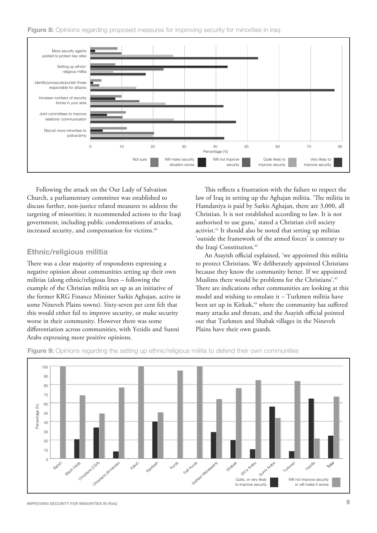

Following the attack on the Our Lady of Salvation Church, a parliamentary committee was established to discuss further, non-justice related measures to address the targeting of minorities; it recommended actions to the Iraqi government, including public condemnations of attacks, increased security, and compensation for victims.<sup>40</sup>

## **Ethnic/religious militia**

There was a clear majority of respondents expressing a negative opinion about communities setting up their own militias (along ethnic/religious lines – following the example of the Christian militia set up as an initiative of the former KRG Finance Minister Sarkis Aghajan, active in some Nineveh Plains towns). Sixty-seven per cent felt that this would either fail to improve security, or make security worse in their community. However there was some differentiation across communities, with Yezidis and Sunni Arabs expressing more positive opinions.

This reflects a frustration with the failure to respect the law of Iraq in setting up the Aghajan militia. 'The militia in Hamdaniya is paid by Sarkis Aghajan, there are 3,000, all Christian. It is not established according to law. It is not authorised to use guns,' stated a Christian civil society activist.<sup>41</sup> It should also be noted that setting up militias 'outside the framework of the armed forces' is contrary to the Iraqi Constitution.<sup>42</sup>

An Asayish official explained, 'we appointed this militia to protect Christians. We deliberately appointed Christians because they know the community better. If we appointed Muslims there would be problems for the Christians'.<sup>43</sup> There are indications other communities are looking at this model and wishing to emulate it – Turkmen militia have been set up in Kirkuk,<sup>44</sup> where the community has suffered many attacks and threats, and the Asayish official pointed out that Turkmen and Shabak villages in the Nineveh Plains have their own guards.



**Figure 9:** Opinions regarding the setting up ethnic/religious militia to defend their own communities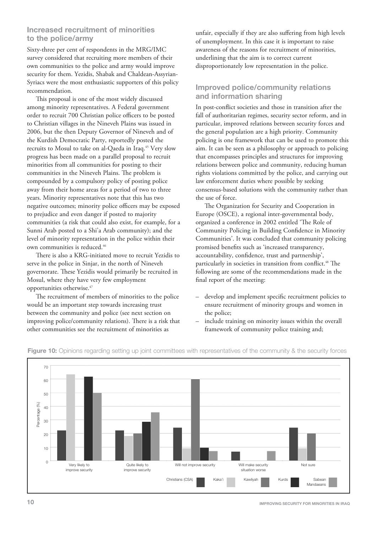## **Increased recruitment of minorities to the police/army**

Sixty-three per cent of respondents in the MRG/IMC survey considered that recruiting more members of their own communities to the police and army would improve security for them. Yezidis, Shabak and Chaldean-Assyrian-Syriacs were the most enthusiastic supporters of this policy recommendation.

This proposal is one of the most widely discussed among minority representatives. A Federal government order to recruit 700 Christian police officers to be posted to Christian villages in the Nineveh Plains was issued in 2006, but the then Deputy Governor of Nineveh and of the Kurdish Democratic Party, reportedly posted the recruits to Mosul to take on al-Qaeda in Iraq.<sup>45</sup> Very slow progress has been made on a parallel proposal to recruit minorities from all communities for posting to their communities in the Nineveh Plains. The problem is compounded by a compulsory policy of posting police away from their home areas for a period of two to three years. Minority representatives note that this has two negative outcomes; minority police officers may be exposed to prejudice and even danger if posted to majority communities (a risk that could also exist, for example, for a Sunni Arab posted to a Shi'a Arab community); and the level of minority representation in the police within their own communities is reduced.<sup>46</sup>

There is also a KRG-initiated move to recruit Yezidis to serve in the police in Sinjar, in the north of Nineveh governorate. These Yezidis would primarily be recruited in Mosul, where they have very few employment opportunities otherwise.47

The recruitment of members of minorities to the police would be an important step towards increasing trust between the community and police (see next section on improving police/community relations). There is a risk that other communities see the recruitment of minorities as

unfair, especially if they are also suffering from high levels of unemployment. In this case it is important to raise awareness of the reasons for recruitment of minorities, underlining that the aim is to correct current disproportionately low representation in the police.

## **Improved police/community relations and information sharing**

In post-conflict societies and those in transition after the fall of authoritarian regimes, security sector reform, and in particular, improved relations between security forces and the general population are a high priority. Community policing is one framework that can be used to promote this aim. It can be seen as a philosophy or approach to policing that encompasses principles and structures for improving relations between police and community, reducing human rights violations committed by the police, and carrying out law enforcement duties where possible by seeking consensus-based solutions with the community rather than the use of force.

The Organization for Security and Cooperation in Europe (OSCE), a regional inter-governmental body, organized a conference in 2002 entitled 'The Role of Community Policing in Building Confidence in Minority Communities'. It was concluded that community policing promised benefits such as 'increased transparency, accountability, confidence, trust and partnership', particularly in societies in transition from conflict.<sup>48</sup> The following are some of the recommendations made in the final report of the meeting:

- develop and implement specific recruitment policies to ensure recruitment of minority groups and women in the police;
- include training on minority issues within the overall framework of community police training and;



## **Figure 10:** Opinions regarding setting up joint committees with representatives of the community & the security forces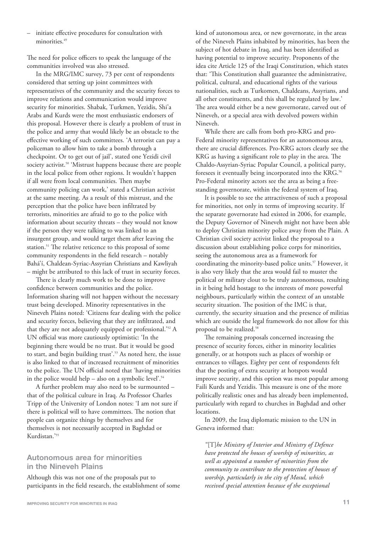– initiate effective procedures for consultation with minorities.<sup>49</sup>

The need for police officers to speak the language of the communities involved was also stressed.

In the MRG/IMC survey, 73 per cent of respondents considered that setting up joint committees with representatives of the community and the security forces to improve relations and communication would improve security for minorities. Shabak, Turkmen, Yezidis, Shi'a Arabs and Kurds were the most enthusiastic endorsers of this proposal. However there is clearly a problem of trust in the police and army that would likely be an obstacle to the effective working of such committees. 'A terrorist can pay a policeman to allow him to take a bomb through a checkpoint. Or to get out of jail', stated one Yezidi civil society activist.<sup>50</sup> 'Mistrust happens because there are people in the local police from other regions. It wouldn't happen if all were from local communities. Then maybe community policing can work,' stated a Christian activist at the same meeting. As a result of this mistrust, and the perception that the police have been infiltrated by terrorists, minorities are afraid to go to the police with information about security threats – they would not know if the person they were talking to was linked to an insurgent group, and would target them after leaving the station.<sup>51</sup> The relative reticence to this proposal of some community respondents in the field research – notably Bahá'í, Chaldean-Syriac-Assyrian Christians and Kawliyah – might be attributed to this lack of trust in security forces.

There is clearly much work to be done to improve confidence between communities and the police. Information sharing will not happen without the necessary trust being developed. Minority representatives in the Nineveh Plains noted: 'Citizens fear dealing with the police and security forces, believing that they are infiltrated, and that they are not adequately equipped or professional.'52 A UN official was more cautiously optimistic: 'In the beginning there would be no trust. But it would be good to start, and begin building trust'.53 As noted here, the issue is also linked to that of increased recruitment of minorities to the police. The UN official noted that 'having minorities in the police would help – also on a symbolic level'.<sup>54</sup>

A further problem may also need to be surmounted – that of the political culture in Iraq. As Professor Charles Tripp of the University of London notes: 'I am not sure if there is political will to have committees. The notion that people can organize things by themselves and for themselves is not necessarily accepted in Baghdad or Kurdistan.'55

#### **Autonomous area for minorities in the Nineveh Plains**

Although this was not one of the proposals put to participants in the field research, the establishment of some kind of autonomous area, or new governorate, in the areas of the Nineveh Plains inhabited by minorities, has been the subject of hot debate in Iraq, and has been identified as having potential to improve security. Proponents of the idea cite Article 125 of the Iraqi Constitution, which states that: 'This Constitution shall guarantee the administrative, political, cultural, and educational rights of the various nationalities, such as Turkomen, Chaldeans, Assyrians, and all other constituents, and this shall be regulated by law.' The area would either be a new governorate, carved out of Nineveh, or a special area with devolved powers within Nineveh.

While there are calls from both pro-KRG and pro-Federal minority representatives for an autonomous area, there are crucial differences. Pro-KRG actors clearly see the KRG as having a significant role to play in the area. The Chaldo-Assyrian-Syriac Popular Council, a political party, foresees it eventually being incorporated into the KRG.<sup>56</sup> Pro-Federal minority actors see the area as being a freestanding governorate, within the federal system of Iraq.

It is possible to see the attractiveness of such a proposal for minorities, not only in terms of improving security. If the separate governorate had existed in 2006, for example, the Deputy Governor of Nineveh might not have been able to deploy Christian minority police away from the Plain. A Christian civil society activist linked the proposal to a discussion about establishing police corps for minorities, seeing the autonomous area as a framework for coordinating the minority-based police units.<sup>57</sup> However, it is also very likely that the area would fail to muster the political or military clout to be truly autonomous, resulting in it being held hostage to the interests of more powerful neighbours, particularly within the context of an unstable security situation. The position of the IMC is that, currently, the security situation and the presence of militias which are outside the legal framework do not allow for this proposal to be realized.<sup>58</sup>

The remaining proposals concerned increasing the presence of security forces, either in minority localities generally, or at hotspots such as places of worship or entrances to villages. Eighty per cent of respondents felt that the posting of extra security at hotspots would improve security, and this option was most popular among Faili Kurds and Yezidis. This measure is one of the more politically realistic ones and has already been implemented, particularly with regard to churches in Baghdad and other locations.

In 2009, the Iraq diplomatic mission to the UN in Geneva informed that:

*"*[T]*he Ministry of Interior and Ministry of Defence have protected the houses of worship of minorities, as well as appointed a number of minorities from the community to contribute to the protection of houses of worship, particularly in the city of Mosul, which received special attention because of the exceptional*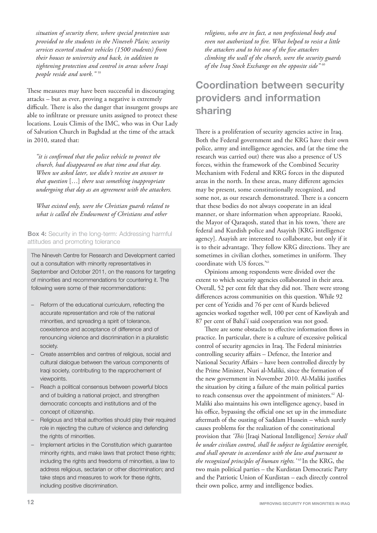*situation of security there, where special protection was provided to the students in the Nineveh Plain; security services escorted student vehicles (1500 students) from their houses to university and back, in addition to tightening protection and control in areas where Iraqi people reside and work."* <sup>59</sup>

These measures may have been successful in discouraging attacks – but as ever, proving a negative is extremely difficult. There is also the danger that insurgent groups are able to infiltrate or pressure units assigned to protect these locations. Louis Climis of the IMC, who was in Our Lady of Salvation Church in Baghdad at the time of the attack in 2010, stated that:

*"it is confirmed that the police vehicle to protect the church, had disappeared on that time and that day. When we asked later, we didn't receive an answer to that question* […] *there was something inappropriate undergoing that day as an agreement with the attackers.* 

*What existed only, were the Christian guards related to what is called the Endowment of Christians and other*

**Box 4:** Security in the long-term: Addressing harmful attitudes and promoting tolerance

The Nineveh Centre for Research and Development carried out a consultation with minority representatives in September and October 2011, on the reasons for targeting of minorities and recommendations for countering it. The following were some of their recommendations:

- Reform of the educational curriculum, reflecting the accurate representation and role of the national minorities, and spreading a spirit of tolerance, coexistence and acceptance of difference and of renouncing violence and discrimination in a pluralistic society.
- Create assemblies and centres of religious, social and cultural dialogue between the various components of Iraqi society, contributing to the rapprochement of viewpoints.
- Reach a political consensus between powerful blocs and of building a national project, and strengthen democratic concepts and institutions and of the concept of citizenship.
- Religious and tribal authorities should play their required role in rejecting the culture of violence and defending the rights of minorities.
- Implement articles in the Constitution which guarantee minority rights, and make laws that protect these rights; including the rights and freedoms of minorities, a law to address religious, sectarian or other discrimination; and take steps and measures to work for these rights, including positive discrimination.

*religions, who are in fact, a non professional body and even not authorized to fire. What helped to resist a little the attackers and to hit one of the five attackers climbing the wall of the church, were the security guards of the Iraq Stock Exchange on the opposite side"* <sup>60</sup>

# **Coordination between security providers and information sharing**

There is a proliferation of security agencies active in Iraq. Both the Federal government and the KRG have their own police, army and intelligence agencies, and (at the time the research was carried out) there was also a presence of US forces, within the framework of the Combined Security Mechanism with Federal and KRG forces in the disputed areas in the north. In these areas, many different agencies may be present, some constitutionally recognized, and some not, as our research demonstrated. There is a concern that these bodies do not always cooperate in an ideal manner, or share information when appropriate. Rzooki, the Mayor of Qaraqosh, stated that in his town, 'there are federal and Kurdish police and Asayish [KRG intelligence agency]. Asayish are interested to collaborate, but only if it is to their advantage. They follow KRG directions. They are sometimes in civilian clothes, sometimes in uniform. They coordinate with US forces.'61

Opinions among respondents were divided over the extent to which security agencies collaborated in their area. Overall, 52 per cent felt that they did not. There were strong differences across communities on this question. While 92 per cent of Yezidis and 76 per cent of Kurds believed agencies worked together well, 100 per cent of Kawliyah and 87 per cent of Bahá'í said cooperation was not good.

There are some obstacles to effective information flows in practice. In particular, there is a culture of excessive political control of security agencies in Iraq. The Federal ministries controlling security affairs – Defence, the Interior and National Security Affairs – have been controlled directly by the Prime Minister, Nuri al-Maliki, since the formation of the new government in November 2010. Al-Maliki justifies the situation by citing a failure of the main political parties to reach consensus over the appointment of ministers.<sup>62</sup> Al-Maliki also maintains his own intelligence agency, based in his office, bypassing the official one set up in the immediate aftermath of the ousting of Saddam Hussein – which surely causes problems for the realization of the constitutional provision that *'This* [Iraqi National Intelligence] *Service shall be under civilian control, shall be subject to legislative oversight, and shall operate in accordance with the law and pursuant to the recognized principles of human rights.'* 63 In the KRG, the two main political parties – the Kurdistan Democratic Party and the Patriotic Union of Kurdistan – each directly control their own police, army and intelligence bodies.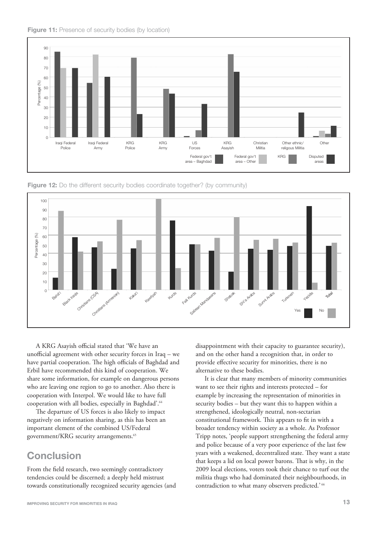



**Figure 12:** Do the different security bodies coordinate together? (by community)



A KRG Asayish official stated that 'We have an unofficial agreement with other security forces in Iraq – we have partial cooperation. The high officials of Baghdad and Erbil have recommended this kind of cooperation. We share some information, for example on dangerous persons who are leaving one region to go to another. Also there is cooperation with Interpol. We would like to have full cooperation with all bodies, especially in Baghdad'.<sup>64</sup>

The departure of US forces is also likely to impact negatively on information sharing, as this has been an important element of the combined US/Federal government/KRG security arrangements.<sup>65</sup>

# **Conclusion**

From the field research, two seemingly contradictory tendencies could be discerned; a deeply held mistrust towards constitutionally recognized security agencies (and disappointment with their capacity to guarantee security), and on the other hand a recognition that, in order to provide effective security for minorities, there is no alternative to these bodies.

It is clear that many members of minority communities want to see their rights and interests protected – for example by increasing the representation of minorities in security bodies – but they want this to happen within a strengthened, ideologically neutral, non-sectarian constitutional framework. This appears to fit in with a broader tendency within society as a whole. As Professor Tripp notes, 'people support strengthening the federal army and police because of a very poor experience of the last few years with a weakened, decentralized state. They want a state that keeps a lid on local power barons. That is why, in the 2009 local elections, voters took their chance to turf out the militia thugs who had dominated their neighbourhoods, in contradiction to what many observers predicted.' 66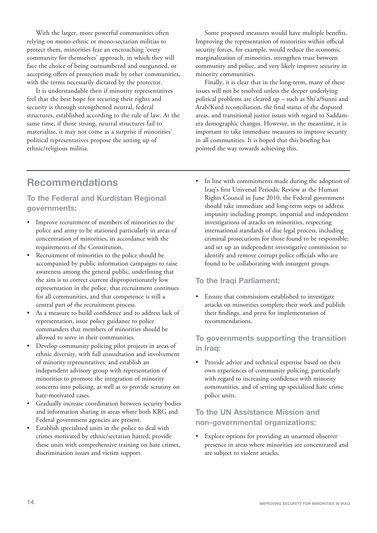With the larger, more powerful communities often relying on mono-ethnic or mono-sectarian militias to protect them, minorities fear an encroaching 'every community for themselves' approach, in which they will face the choice of being outnumbered and outgunned, or accepting offers of protection made by other communities, with the terms necessarily dictated by the protector.

It is understandable then if minority representatives feel that the best hope for securing their rights and security is through strengthened neutral, federal structures, established according to the rule of law. At the same time, if those strong, neutral structures fail to materialize, it may not come as a surprise if minorities' political representatives propose the setting up of ethnic/religious militia.

Some proposed measures would have multiple benefits. Improving the representation of minorities within official security forces, for example, would reduce the economic marginalization of minorities, strengthen trust between community and police, and very likely improve security in minority communities.

Finally, it is clear that in the long-term, many of these issues will not be resolved unless the deeper underlying political problems are cleared up – such as Shi'a/Sunni and Arab/Kurd reconciliation, the final status of the disputed areas, and transitional justice issues with regard to Saddamera demographic changes. However, in the meantime, it is important to take immediate measures to improve security in all communities. It is hoped that this briefing has pointed the way towards achieving this.

# **Recommendations**

## **To the Federal and Kurdistan Regional governments:**

- Improve recruitment of members of minorities to the police and army to be stationed particularly in areas of concentration of minorities, in accordance with the requirements of the Constitution.
- Recruitment of minorities to the police should be accompanied by public information campaigns to raise awareness among the general public, underlining that the aim is to correct current disproportionately low representation in the police, that recruitment continues for all communities, and that competence is still a central part of the recruitment process.
- As a measure to build confidence and to address lack of representation, issue policy guidance to police commanders that members of minorities should be allowed to serve in their communities.
- Develop community policing pilot projects in areas of ethnic diversity, with full consultation and involvement of minority representatives; and establish an independent advisory group with representation of minorities to promote the integration of minority concerns into policing, as well as to provide scrutiny on hate-motivated cases.
- Gradually increase coordination between security bodies and information sharing in areas where both KRG and Federal government agencies are present.
- Establish specialized units in the police to deal with crimes motivated by ethnic/sectarian hatred; provide these units with comprehensive training on hate crimes, discrimination issues and victim support.

• In line with commitments made during the adoption of Iraq's first Universal Periodic Review at the Human Rights Council in June 2010, the Federal government should take immediate and long-term steps to address impunity including prompt, impartial and independent investigations of attacks on minorities, respecting international standards of due legal process, including criminal prosecutions for those found to be responsible; and set up an independent investigative commission to identify and remove corrupt police officials who are found to be collaborating with insurgent groups.

## **To the Iraqi Parliament:**

• Ensure that commissions established to investigate attacks on minorities complete their work and publish their findings, and press for implementation of recommendations.

## **To governments supporting the transition in Iraq:**

Provide advice and technical expertise based on their own experiences of community policing, particularly with regard to increasing confidence with minority communities, and of setting up specialized hate crime police units.

## **To the UN Assistance Mission and non-governmental organizations:**

Explore options for providing an unarmed observer presence in areas where minorities are concentrated and are subject to violent attacks.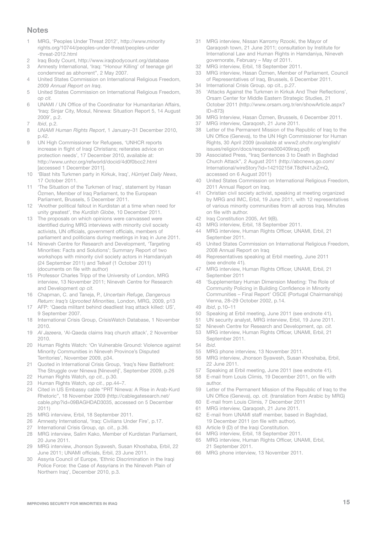#### **Notes**

- 1 MRG, 'Peoples Under Threat 2012', http://www.minority rights.org/10744/peoples-under-threat/peoples-under -threat-2012.html
- 2 Iraq Body Count, http://www.iraqbodycount.org/database<br>3 Amnesty International Strag: "Honour Killing' of teenage gi
- Amnesty International, 'Iraq: "Honour Killing' of teenage girl condemned as abhorrent", 2 May 2007.
- 4 United States Commission on International Religious Freedom, 2009 Annual Report on Iraq.
- 5 United States Commission on International Religious Freedom, op cit.
- 6 UNAMI / UN Office of the Coordinator for Humanitarian Affairs, 'Iraq: Sinjar City, Mosul, Ninewa: Situation Report 5, 14 August 2009', p.2.
- 7 Ibid, p.2.
- 8 UNAMI Human Rights Report, 1 January–31 December 2010, p.42.
- 9 UN High Commissioner for Refugees, 'UNHCR reports increase in flight of Iraqi Christians; reiterates advice on protection needs', 17 December 2010, available at: http://www.unhcr.org/refworld/docid/4d0f0bcc2.html [accessed 1 December 2011].
- 10 'Blast hits Turkmen party in Kirkuk, Iraq', Hürriyet Daily News, 17 October 2011.
- 11 'The Situation of the Turkmen of Iraq', statement by Hasan Özmen, Member of Iraq Parliament, to the European Parliament, Brussels, 5 December 2011.
- 12 'Another political fallout in Kurdistan at a time when need for unity greatest', the Kurdish Globe, 10 December 2011.
- 13 The proposals on which opinions were canvassed were identified during MRG interviews with minority civil society activists, UN officials, government officials, members of parliament and politicians during meetings in Iraq in June 2011.
- 14 Nineveh Centre for Research and Development, 'Targeting Minorities: Facts and Solutions'; Summary Report of two workshops with minority civil society actors in Hamdaniyah (24 September 2011) and Telkeif (1 October 2011) (documents on file with author)
- 15 Professor Charles Tripp of the University of London, MRG interview, 13 November 2011; Nineveh Centre for Research and Development op cit.
- 16 Chapman, C. and Taneja, P., Uncertain Refuge, Dangerous Return: Iraq's Uprooted Minorities, London, MRG, 2009, p13
- 17 AFP: 'Qaeda militant behind deadliest Iraq attack killed: US', 9 September 2007.
- 18 International Crisis Group, CrisisWatch Database, 1 November 2010.
- 19 Al Jazeera, 'Al-Qaeda claims Iraq church attack', 2 November 2010.
- 20 Human Rights Watch: 'On Vulnerable Ground: Violence against Minority Communities in Nineveh Province's Disputed Territories', November 2009, p34.
- 21 Quoted in International Crisis Group, 'Iraq's New Battlefront: The Struggle over Ninewa [Nineveh]', September 2009, p.26
- 22 Human Rights Watch, op cit., p.30.
- 23 Human Rights Watch, op cit., pp.44–7.
- 24 Cited in US Embassy cable "PRT Ninewa: A Rise in Arab-Kurd Rhetoric", 18 November 2009 (http://cablegatesearch.net/ cable.php?id=09BAGHDAD3035, accessed on 5 December 2011)
- 25 MRG interview, Erbil, 18 September 2011.
- 26 Amnesty International, 'Iraq: Civilians Under Fire', p.17.
- 27 International Crisis Group, op. cit., p.36.<br>28 MRG interview Salim Kako Member of
- MRG interview, Salim Kako, Member of Kurdistan Parliament, 20 June 2011.
- 29 MRG interview, Jhonson Syawesh, Susan Khoshaba, Erbil, 22 June 2011; UNAMI officials, Erbil, 23 June 2011.
- 30 Assyria Council of Europe, 'Ethnic Discrimination in the Iraqi Police Force: the Case of Assyrians in the Nineveh Plain of Northern Iraq', December 2010, p.3.
- 31 MRG interview, Nissan Karromy Rzooki, the Mayor of Qaraqosh town, 21 June 2011; consultation by Institute for International Law and Human Rights in Hamdaniya, Nineveh governorate, February – May of 2011.
- 32 MRG interview, Erbil, 18 September 2011.<br>33 MRG interview, Hasan Özmen, Member of
- 33 MRG interview, Hasan Özmen, Member of Parliament, Council of Representatives of Iraq, Brussels, 6 December 2011.
- 34 International Crisis Group, op cit., p.27.
- 35 'Attacks Against the Turkmen in Kirkuk And Their Reflections', Orsam Center for Middle Eastern Strategic Studies, 21 October 2011 (http://www.orsam.org.tr/en/showArticle.aspx?  $ID - 873$
- 36 MRG Interview, Hasan Özmen, Brussels, 6 December 2011.<br>37 MRG interview, Oaragosh, 21 June 2011.
- MRG interview, Qaraqosh, 21 June 2011.
- 38 Letter of the Permanent Mission of the Republic of Iraq to the UN Office (Geneva), to the UN High Commissioner for Human Rights, 30 April 2009 (available at www2.ohchr.org/english/ issues/religion/docs/response300409iraq.pdf)
- 39 Associated Press, "Iraq Sentences 3 to Death in Baghdad Church Attack", 2 August 2011 (http://abcnews.go.com/ International/wireStory?id=14210215#.T8dN41JrZmQ, accessed on 6 August 2011)
- 40 United States Commission on International Religious Freedom, 2011 Annual Report on Iraq.
- 41 Christian civil society activist, speaking at meeting organized by MRG and IMC, Erbil, 19 June 2011, with 12 representatives of various minority communities from all across Iraq. Minutes on file with author.
- 42 Iraq Constitution 2005, Art 9(B).
- 43 MRG interview, Erbil, 18 September 2011.<br>44 MRG interview, Human Bights Officer UN
- MRG interview, Human Rights Officer, UNAMI, Erbil, 21 September 2011.
- 45 United States Commission on International Religious Freedom, 2008 Annual Report on Iraq
- 46 Representatives speaking at Erbil meeting, June 2011 (see endnote 41).
- 47 MRG interview, Human Rights Officer, UNAMI, Erbil, 21 September 2011
- 48 'Supplementary Human Dimension Meeting: The Role of Community Policing in Building Confidence in Minority Communities – Final Report' OSCE (Portugal Chairmanship) Vienna, 28–29 October 2002, p.14.
- 49 Ibid, p.10–11
- 50 Speaking at Erbil meeting, June 2011 (see endnote 41).
- 51 UN security analyst, MRG interview, Erbil, 19 June 2011.
- 52 Nineveh Centre for Research and Development, op. cit.
- 53 MRG interview, Human Rights Officer, UNAMI, Erbil, 21 September 2011.
- 54 *Ibid.*<br>55 MR
- MRG phone interview, 13 November 2011.
- 56 MRG interview, Jhonson Syawesh, Susan Khoshaba, Erbil, 22 June 2011.
- 57 Speaking at Erbil meeting, June 2011 (see endnote 41).
- 58 E-mail from Louis Climis, 19 December 2011, on file with author.
- 59 Letter of the Permanent Mission of the Republic of Iraq to the UN Office (Geneva), op. cit. (translation from Arabic by MRG)
- 60 E-mail from Louis Climis, 7 December 2011
- 61 MRG interview, Qaraqosh, 21 June 2011.
- 62 E-mail from UNAMI staff member, based in Baghdad, 19 December 2011 (on file with author).
- 63 Article 9 (D) of the Iraqi Constitution.
- 64 MRG interview, Erbil, 18 September 2011.<br>65 MRG interview, Human Bights Officer, UN
- MRG interview, Human Rights Officer, UNAMI, Erbil, 21 September 2011.
- 66 MRG phone interview, 13 November 2011.